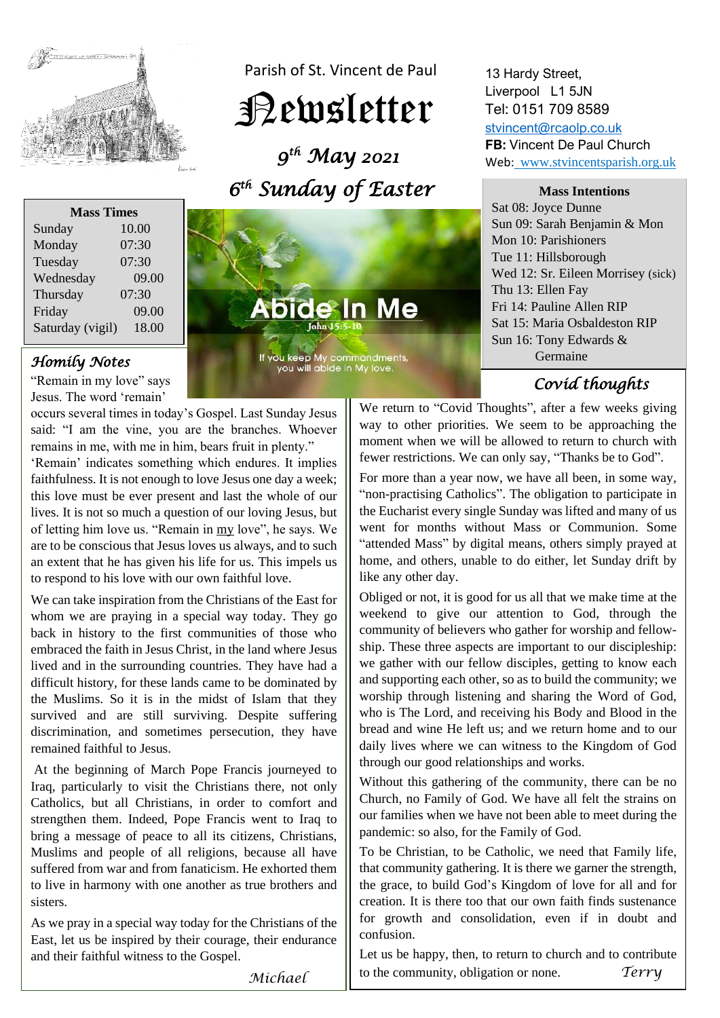

Parish of St. Vincent de Paul

# Newsletter

 *9 th May 2021 6 th Sunday of Easter* 



"Remain in my love" says Jesus. The word 'remain'

occurs several times in today's Gospel. Last Sunday Jesus said: "I am the vine, you are the branches. Whoever remains in me, with me in him, bears fruit in plenty."

'Remain' indicates something which endures. It implies faithfulness. It is not enough to love Jesus one day a week; this love must be ever present and last the whole of our lives. It is not so much a question of our loving Jesus, but of letting him love us. "Remain in my love", he says. We are to be conscious that Jesus loves us always, and to such an extent that he has given his life for us. This impels us to respond to his love with our own faithful love.

We can take inspiration from the Christians of the East for whom we are praying in a special way today. They go back in history to the first communities of those who embraced the faith in Jesus Christ, in the land where Jesus lived and in the surrounding countries. They have had a difficult history, for these lands came to be dominated by the Muslims. So it is in the midst of Islam that they survived and are still surviving. Despite suffering discrimination, and sometimes persecution, they have remained faithful to Jesus.

At the beginning of March Pope Francis journeyed to Iraq, particularly to visit the Christians there, not only Catholics, but all Christians, in order to comfort and strengthen them. Indeed, Pope Francis went to Iraq to bring a message of peace to all its citizens, Christians, Muslims and people of all religions, because all have suffered from war and from fanaticism. He exhorted them to live in harmony with one another as true brothers and sisters.

As we pray in a special way today for the Christians of the East, let us be inspired by their courage, their endurance and their faithful witness to the Gospel.

Abide In Me

*Homily Notes* **Germaine Germaine Germaine Germaine Germaine Germaine Germaine Germaine Germaine Germaine** 

### 13 Hardy Street, Liverpool L1 5JN Tel: 0151 709 8589

[stvincent@rcaolp.co.uk](mailto:stvincent@rcaolp.co.uk) **FB:** Vincent De Paul Church Web: www.stvincentsparish.org.uk

**Mass Intentions**

Sat 08: Joyce Dunne Sun 09: Sarah Benjamin & Mon Mon 10: Parishioners Tue 11: Hillsborough Wed 12: Sr. Eileen Morrisey (sick) Thu 13: Ellen Fay Fri 14: Pauline Allen RIP Sat 15: Maria Osbaldeston RIP Sun 16: Tony Edwards &

 *Covid thoughts* 

We return to "Covid Thoughts", after a few weeks giving way to other priorities. We seem to be approaching the moment when we will be allowed to return to church with fewer restrictions. We can only say, "Thanks be to God".

For more than a year now, we have all been, in some way, "non-practising Catholics". The obligation to participate in the Eucharist every single Sunday was lifted and many of us went for months without Mass or Communion. Some "attended Mass" by digital means, others simply prayed at home, and others, unable to do either, let Sunday drift by like any other day.

Obliged or not, it is good for us all that we make time at the weekend to give our attention to God, through the community of believers who gather for worship and fellowship. These three aspects are important to our discipleship: we gather with our fellow disciples, getting to know each and supporting each other, so as to build the community; we worship through listening and sharing the Word of God, who is The Lord, and receiving his Body and Blood in the bread and wine He left us; and we return home and to our daily lives where we can witness to the Kingdom of God through our good relationships and works.

Without this gathering of the community, there can be no Church, no Family of God. We have all felt the strains on our families when we have not been able to meet during the pandemic: so also, for the Family of God.

To be Christian, to be Catholic, we need that Family life, that community gathering. It is there we garner the strength, the grace, to build God's Kingdom of love for all and for creation. It is there too that our own faith finds sustenance for growth and consolidation, even if in doubt and confusion.

Let us be happy, then, to return to church and to contribute to the community, obligation or none. *Terry*

*Michael*